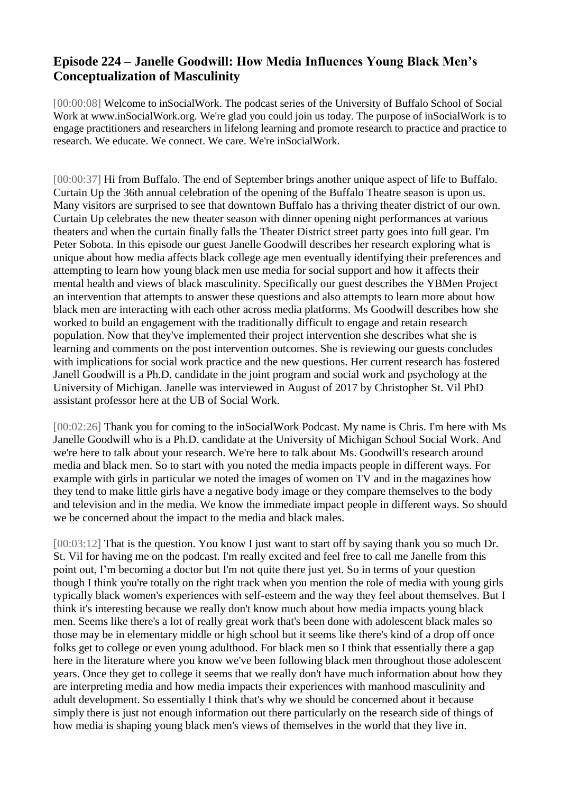## **Episode 224 – Janelle Goodwill: How Media Influences Young Black Men's Conceptualization of Masculinity**

[00:00:08] Welcome to inSocialWork. The podcast series of the University of Buffalo School of Social Work at www.inSocialWork.org. We're glad you could join us today. The purpose of inSocialWork is to engage practitioners and researchers in lifelong learning and promote research to practice and practice to research. We educate. We connect. We care. We're inSocialWork.

[00:00:37] Hi from Buffalo. The end of September brings another unique aspect of life to Buffalo. Curtain Up the 36th annual celebration of the opening of the Buffalo Theatre season is upon us. Many visitors are surprised to see that downtown Buffalo has a thriving theater district of our own. Curtain Up celebrates the new theater season with dinner opening night performances at various theaters and when the curtain finally falls the Theater District street party goes into full gear. I'm Peter Sobota. In this episode our guest Janelle Goodwill describes her research exploring what is unique about how media affects black college age men eventually identifying their preferences and attempting to learn how young black men use media for social support and how it affects their mental health and views of black masculinity. Specifically our guest describes the YBMen Project an intervention that attempts to answer these questions and also attempts to learn more about how black men are interacting with each other across media platforms. Ms Goodwill describes how she worked to build an engagement with the traditionally difficult to engage and retain research population. Now that they've implemented their project intervention she describes what she is learning and comments on the post intervention outcomes. She is reviewing our guests concludes with implications for social work practice and the new questions. Her current research has fostered Janell Goodwill is a Ph.D. candidate in the joint program and social work and psychology at the University of Michigan. Janelle was interviewed in August of 2017 by Christopher St. Vil PhD assistant professor here at the UB of Social Work.

[00:02:26] Thank you for coming to the inSocialWork Podcast. My name is Chris. I'm here with Ms Janelle Goodwill who is a Ph.D. candidate at the University of Michigan School Social Work. And we're here to talk about your research. We're here to talk about Ms. Goodwill's research around media and black men. So to start with you noted the media impacts people in different ways. For example with girls in particular we noted the images of women on TV and in the magazines how they tend to make little girls have a negative body image or they compare themselves to the body and television and in the media. We know the immediate impact people in different ways. So should we be concerned about the impact to the media and black males.

[00:03:12] That is the question. You know I just want to start off by saying thank you so much Dr. St. Vil for having me on the podcast. I'm really excited and feel free to call me Janelle from this point out, I'm becoming a doctor but I'm not quite there just yet. So in terms of your question though I think you're totally on the right track when you mention the role of media with young girls typically black women's experiences with self-esteem and the way they feel about themselves. But I think it's interesting because we really don't know much about how media impacts young black men. Seems like there's a lot of really great work that's been done with adolescent black males so those may be in elementary middle or high school but it seems like there's kind of a drop off once folks get to college or even young adulthood. For black men so I think that essentially there a gap here in the literature where you know we've been following black men throughout those adolescent years. Once they get to college it seems that we really don't have much information about how they are interpreting media and how media impacts their experiences with manhood masculinity and adult development. So essentially I think that's why we should be concerned about it because simply there is just not enough information out there particularly on the research side of things of how media is shaping young black men's views of themselves in the world that they live in.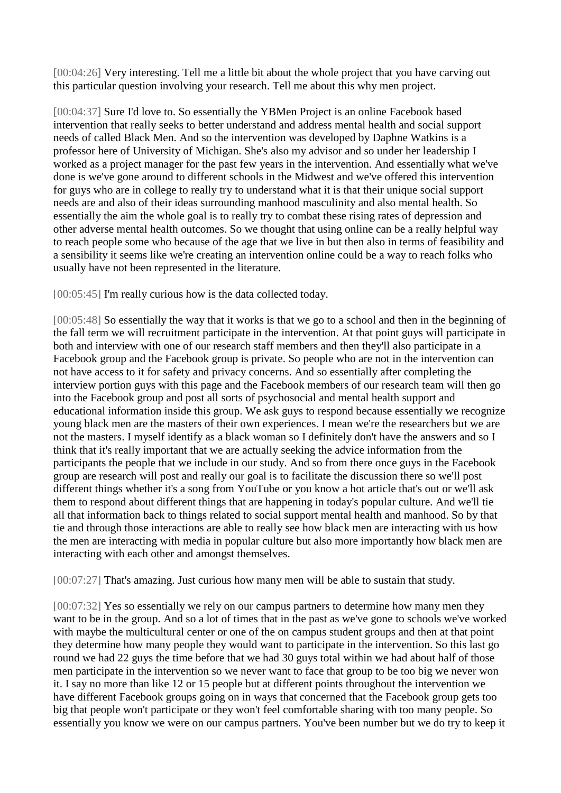[00:04:26] Very interesting. Tell me a little bit about the whole project that you have carving out this particular question involving your research. Tell me about this why men project.

[00:04:37] Sure I'd love to. So essentially the YBMen Project is an online Facebook based intervention that really seeks to better understand and address mental health and social support needs of called Black Men. And so the intervention was developed by Daphne Watkins is a professor here of University of Michigan. She's also my advisor and so under her leadership I worked as a project manager for the past few years in the intervention. And essentially what we've done is we've gone around to different schools in the Midwest and we've offered this intervention for guys who are in college to really try to understand what it is that their unique social support needs are and also of their ideas surrounding manhood masculinity and also mental health. So essentially the aim the whole goal is to really try to combat these rising rates of depression and other adverse mental health outcomes. So we thought that using online can be a really helpful way to reach people some who because of the age that we live in but then also in terms of feasibility and a sensibility it seems like we're creating an intervention online could be a way to reach folks who usually have not been represented in the literature.

[00:05:45] I'm really curious how is the data collected today.

[00:05:48] So essentially the way that it works is that we go to a school and then in the beginning of the fall term we will recruitment participate in the intervention. At that point guys will participate in both and interview with one of our research staff members and then they'll also participate in a Facebook group and the Facebook group is private. So people who are not in the intervention can not have access to it for safety and privacy concerns. And so essentially after completing the interview portion guys with this page and the Facebook members of our research team will then go into the Facebook group and post all sorts of psychosocial and mental health support and educational information inside this group. We ask guys to respond because essentially we recognize young black men are the masters of their own experiences. I mean we're the researchers but we are not the masters. I myself identify as a black woman so I definitely don't have the answers and so I think that it's really important that we are actually seeking the advice information from the participants the people that we include in our study. And so from there once guys in the Facebook group are research will post and really our goal is to facilitate the discussion there so we'll post different things whether it's a song from YouTube or you know a hot article that's out or we'll ask them to respond about different things that are happening in today's popular culture. And we'll tie all that information back to things related to social support mental health and manhood. So by that tie and through those interactions are able to really see how black men are interacting with us how the men are interacting with media in popular culture but also more importantly how black men are interacting with each other and amongst themselves.

[00:07:27] That's amazing. Just curious how many men will be able to sustain that study.

[00:07:32] Yes so essentially we rely on our campus partners to determine how many men they want to be in the group. And so a lot of times that in the past as we've gone to schools we've worked with maybe the multicultural center or one of the on campus student groups and then at that point they determine how many people they would want to participate in the intervention. So this last go round we had 22 guys the time before that we had 30 guys total within we had about half of those men participate in the intervention so we never want to face that group to be too big we never won it. I say no more than like 12 or 15 people but at different points throughout the intervention we have different Facebook groups going on in ways that concerned that the Facebook group gets too big that people won't participate or they won't feel comfortable sharing with too many people. So essentially you know we were on our campus partners. You've been number but we do try to keep it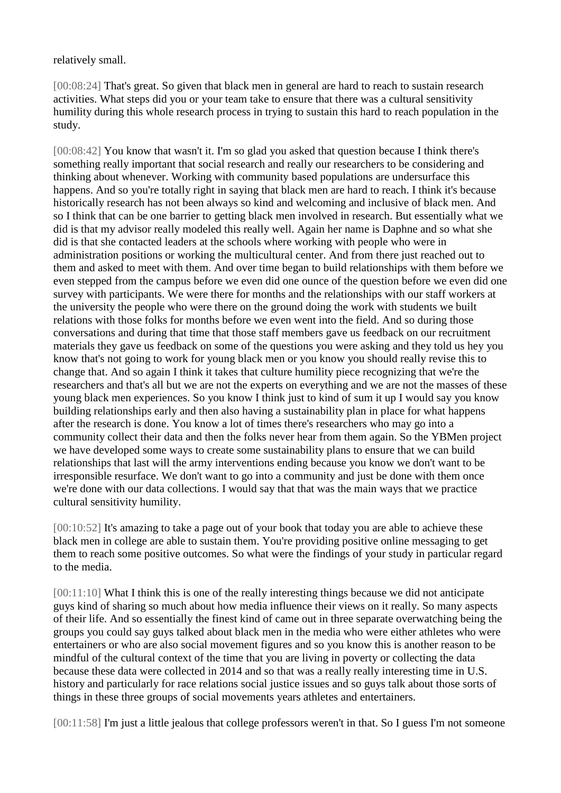relatively small.

[00:08:24] That's great. So given that black men in general are hard to reach to sustain research activities. What steps did you or your team take to ensure that there was a cultural sensitivity humility during this whole research process in trying to sustain this hard to reach population in the study.

[00:08:42] You know that wasn't it. I'm so glad you asked that question because I think there's something really important that social research and really our researchers to be considering and thinking about whenever. Working with community based populations are undersurface this happens. And so you're totally right in saying that black men are hard to reach. I think it's because historically research has not been always so kind and welcoming and inclusive of black men. And so I think that can be one barrier to getting black men involved in research. But essentially what we did is that my advisor really modeled this really well. Again her name is Daphne and so what she did is that she contacted leaders at the schools where working with people who were in administration positions or working the multicultural center. And from there just reached out to them and asked to meet with them. And over time began to build relationships with them before we even stepped from the campus before we even did one ounce of the question before we even did one survey with participants. We were there for months and the relationships with our staff workers at the university the people who were there on the ground doing the work with students we built relations with those folks for months before we even went into the field. And so during those conversations and during that time that those staff members gave us feedback on our recruitment materials they gave us feedback on some of the questions you were asking and they told us hey you know that's not going to work for young black men or you know you should really revise this to change that. And so again I think it takes that culture humility piece recognizing that we're the researchers and that's all but we are not the experts on everything and we are not the masses of these young black men experiences. So you know I think just to kind of sum it up I would say you know building relationships early and then also having a sustainability plan in place for what happens after the research is done. You know a lot of times there's researchers who may go into a community collect their data and then the folks never hear from them again. So the YBMen project we have developed some ways to create some sustainability plans to ensure that we can build relationships that last will the army interventions ending because you know we don't want to be irresponsible resurface. We don't want to go into a community and just be done with them once we're done with our data collections. I would say that that was the main ways that we practice cultural sensitivity humility.

[00:10:52] It's amazing to take a page out of your book that today you are able to achieve these black men in college are able to sustain them. You're providing positive online messaging to get them to reach some positive outcomes. So what were the findings of your study in particular regard to the media.

[00:11:10] What I think this is one of the really interesting things because we did not anticipate guys kind of sharing so much about how media influence their views on it really. So many aspects of their life. And so essentially the finest kind of came out in three separate overwatching being the groups you could say guys talked about black men in the media who were either athletes who were entertainers or who are also social movement figures and so you know this is another reason to be mindful of the cultural context of the time that you are living in poverty or collecting the data because these data were collected in 2014 and so that was a really really interesting time in U.S. history and particularly for race relations social justice issues and so guys talk about those sorts of things in these three groups of social movements years athletes and entertainers.

[00:11:58] I'm just a little jealous that college professors weren't in that. So I guess I'm not someone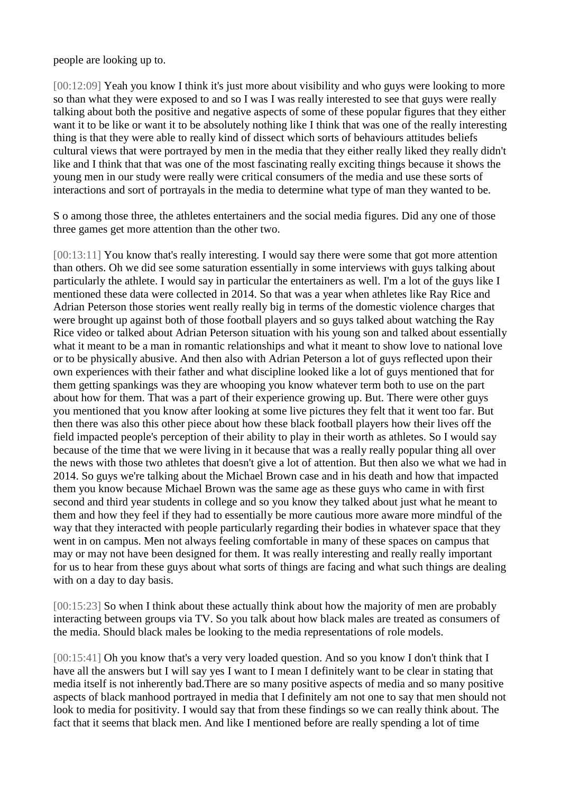people are looking up to.

[00:12:09] Yeah you know I think it's just more about visibility and who guys were looking to more so than what they were exposed to and so I was I was really interested to see that guys were really talking about both the positive and negative aspects of some of these popular figures that they either want it to be like or want it to be absolutely nothing like I think that was one of the really interesting thing is that they were able to really kind of dissect which sorts of behaviours attitudes beliefs cultural views that were portrayed by men in the media that they either really liked they really didn't like and I think that that was one of the most fascinating really exciting things because it shows the young men in our study were really were critical consumers of the media and use these sorts of interactions and sort of portrayals in the media to determine what type of man they wanted to be.

S o among those three, the athletes entertainers and the social media figures. Did any one of those three games get more attention than the other two.

[00:13:11] You know that's really interesting. I would say there were some that got more attention than others. Oh we did see some saturation essentially in some interviews with guys talking about particularly the athlete. I would say in particular the entertainers as well. I'm a lot of the guys like I mentioned these data were collected in 2014. So that was a year when athletes like Ray Rice and Adrian Peterson those stories went really really big in terms of the domestic violence charges that were brought up against both of those football players and so guys talked about watching the Ray Rice video or talked about Adrian Peterson situation with his young son and talked about essentially what it meant to be a man in romantic relationships and what it meant to show love to national love or to be physically abusive. And then also with Adrian Peterson a lot of guys reflected upon their own experiences with their father and what discipline looked like a lot of guys mentioned that for them getting spankings was they are whooping you know whatever term both to use on the part about how for them. That was a part of their experience growing up. But. There were other guys you mentioned that you know after looking at some live pictures they felt that it went too far. But then there was also this other piece about how these black football players how their lives off the field impacted people's perception of their ability to play in their worth as athletes. So I would say because of the time that we were living in it because that was a really really popular thing all over the news with those two athletes that doesn't give a lot of attention. But then also we what we had in 2014. So guys we're talking about the Michael Brown case and in his death and how that impacted them you know because Michael Brown was the same age as these guys who came in with first second and third year students in college and so you know they talked about just what he meant to them and how they feel if they had to essentially be more cautious more aware more mindful of the way that they interacted with people particularly regarding their bodies in whatever space that they went in on campus. Men not always feeling comfortable in many of these spaces on campus that may or may not have been designed for them. It was really interesting and really really important for us to hear from these guys about what sorts of things are facing and what such things are dealing with on a day to day basis.

[00:15:23] So when I think about these actually think about how the majority of men are probably interacting between groups via TV. So you talk about how black males are treated as consumers of the media. Should black males be looking to the media representations of role models.

[00:15:41] Oh you know that's a very very loaded question. And so you know I don't think that I have all the answers but I will say yes I want to I mean I definitely want to be clear in stating that media itself is not inherently bad.There are so many positive aspects of media and so many positive aspects of black manhood portrayed in media that I definitely am not one to say that men should not look to media for positivity. I would say that from these findings so we can really think about. The fact that it seems that black men. And like I mentioned before are really spending a lot of time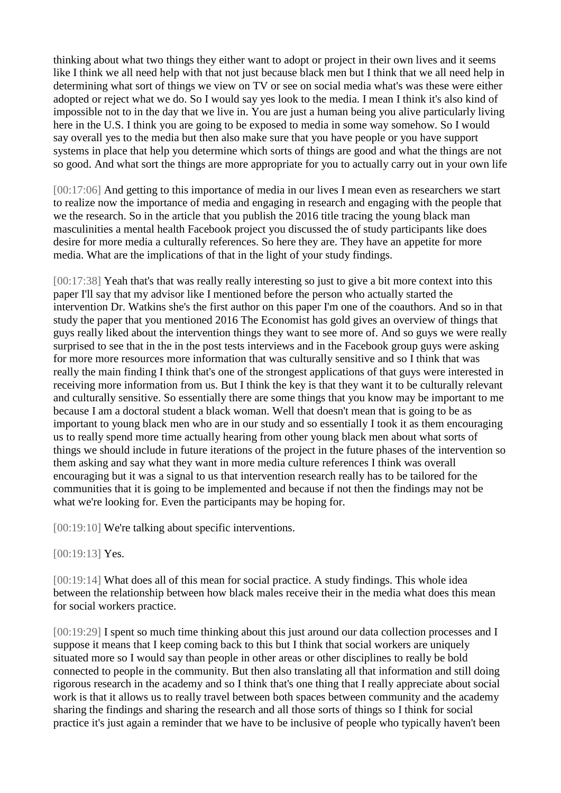thinking about what two things they either want to adopt or project in their own lives and it seems like I think we all need help with that not just because black men but I think that we all need help in determining what sort of things we view on TV or see on social media what's was these were either adopted or reject what we do. So I would say yes look to the media. I mean I think it's also kind of impossible not to in the day that we live in. You are just a human being you alive particularly living here in the U.S. I think you are going to be exposed to media in some way somehow. So I would say overall yes to the media but then also make sure that you have people or you have support systems in place that help you determine which sorts of things are good and what the things are not so good. And what sort the things are more appropriate for you to actually carry out in your own life

[00:17:06] And getting to this importance of media in our lives I mean even as researchers we start to realize now the importance of media and engaging in research and engaging with the people that we the research. So in the article that you publish the 2016 title tracing the young black man masculinities a mental health Facebook project you discussed the of study participants like does desire for more media a culturally references. So here they are. They have an appetite for more media. What are the implications of that in the light of your study findings.

[00:17:38] Yeah that's that was really really interesting so just to give a bit more context into this paper I'll say that my advisor like I mentioned before the person who actually started the intervention Dr. Watkins she's the first author on this paper I'm one of the coauthors. And so in that study the paper that you mentioned 2016 The Economist has gold gives an overview of things that guys really liked about the intervention things they want to see more of. And so guys we were really surprised to see that in the in the post tests interviews and in the Facebook group guys were asking for more more resources more information that was culturally sensitive and so I think that was really the main finding I think that's one of the strongest applications of that guys were interested in receiving more information from us. But I think the key is that they want it to be culturally relevant and culturally sensitive. So essentially there are some things that you know may be important to me because I am a doctoral student a black woman. Well that doesn't mean that is going to be as important to young black men who are in our study and so essentially I took it as them encouraging us to really spend more time actually hearing from other young black men about what sorts of things we should include in future iterations of the project in the future phases of the intervention so them asking and say what they want in more media culture references I think was overall encouraging but it was a signal to us that intervention research really has to be tailored for the communities that it is going to be implemented and because if not then the findings may not be what we're looking for. Even the participants may be hoping for.

[00:19:10] We're talking about specific interventions.

[00:19:13] Yes.

[00:19:14] What does all of this mean for social practice. A study findings. This whole idea between the relationship between how black males receive their in the media what does this mean for social workers practice.

[00:19:29] I spent so much time thinking about this just around our data collection processes and I suppose it means that I keep coming back to this but I think that social workers are uniquely situated more so I would say than people in other areas or other disciplines to really be bold connected to people in the community. But then also translating all that information and still doing rigorous research in the academy and so I think that's one thing that I really appreciate about social work is that it allows us to really travel between both spaces between community and the academy sharing the findings and sharing the research and all those sorts of things so I think for social practice it's just again a reminder that we have to be inclusive of people who typically haven't been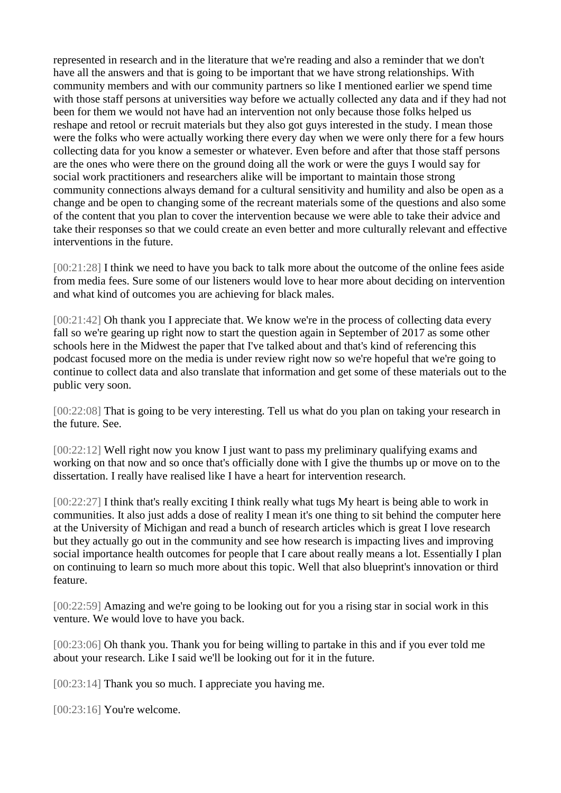represented in research and in the literature that we're reading and also a reminder that we don't have all the answers and that is going to be important that we have strong relationships. With community members and with our community partners so like I mentioned earlier we spend time with those staff persons at universities way before we actually collected any data and if they had not been for them we would not have had an intervention not only because those folks helped us reshape and retool or recruit materials but they also got guys interested in the study. I mean those were the folks who were actually working there every day when we were only there for a few hours collecting data for you know a semester or whatever. Even before and after that those staff persons are the ones who were there on the ground doing all the work or were the guys I would say for social work practitioners and researchers alike will be important to maintain those strong community connections always demand for a cultural sensitivity and humility and also be open as a change and be open to changing some of the recreant materials some of the questions and also some of the content that you plan to cover the intervention because we were able to take their advice and take their responses so that we could create an even better and more culturally relevant and effective interventions in the future.

[00:21:28] I think we need to have you back to talk more about the outcome of the online fees aside from media fees. Sure some of our listeners would love to hear more about deciding on intervention and what kind of outcomes you are achieving for black males.

[00:21:42] Oh thank you I appreciate that. We know we're in the process of collecting data every fall so we're gearing up right now to start the question again in September of 2017 as some other schools here in the Midwest the paper that I've talked about and that's kind of referencing this podcast focused more on the media is under review right now so we're hopeful that we're going to continue to collect data and also translate that information and get some of these materials out to the public very soon.

[00:22:08] That is going to be very interesting. Tell us what do you plan on taking your research in the future. See.

[00:22:12] Well right now you know I just want to pass my preliminary qualifying exams and working on that now and so once that's officially done with I give the thumbs up or move on to the dissertation. I really have realised like I have a heart for intervention research.

[00:22:27] I think that's really exciting I think really what tugs My heart is being able to work in communities. It also just adds a dose of reality I mean it's one thing to sit behind the computer here at the University of Michigan and read a bunch of research articles which is great I love research but they actually go out in the community and see how research is impacting lives and improving social importance health outcomes for people that I care about really means a lot. Essentially I plan on continuing to learn so much more about this topic. Well that also blueprint's innovation or third feature.

[00:22:59] Amazing and we're going to be looking out for you a rising star in social work in this venture. We would love to have you back.

[00:23:06] Oh thank you. Thank you for being willing to partake in this and if you ever told me about your research. Like I said we'll be looking out for it in the future.

[00:23:14] Thank you so much. I appreciate you having me.

[00:23:16] You're welcome.